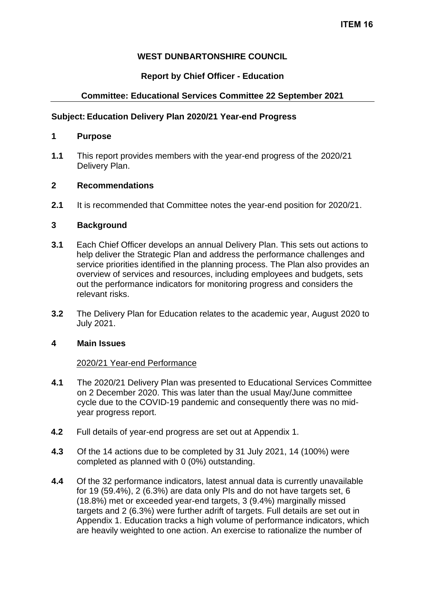### **WEST DUNBARTONSHIRE COUNCIL**

# **Report by Chief Officer - Education**

# **Committee: Educational Services Committee 22 September 2021**

### **Subject: Education Delivery Plan 2020/21 Year-end Progress**

# **1 Purpose**

**1.1** This report provides members with the year-end progress of the 2020/21 Delivery Plan.

# **2 Recommendations**

**2.1** It is recommended that Committee notes the year-end position for 2020/21.

### **3 Background**

- **3.1** Each Chief Officer develops an annual Delivery Plan. This sets out actions to help deliver the Strategic Plan and address the performance challenges and service priorities identified in the planning process. The Plan also provides an overview of services and resources, including employees and budgets, sets out the performance indicators for monitoring progress and considers the relevant risks.
- **3.2** The Delivery Plan for Education relates to the academic year, August 2020 to July 2021.

### **4 Main Issues**

### 2020/21 Year-end Performance

- **4.1** The 2020/21 Delivery Plan was presented to Educational Services Committee on 2 December 2020. This was later than the usual May/June committee cycle due to the COVID-19 pandemic and consequently there was no midyear progress report.
- **4.2** Full details of year-end progress are set out at Appendix 1.
- **4.3** Of the 14 actions due to be completed by 31 July 2021, 14 (100%) were completed as planned with 0 (0%) outstanding.
- **4.4** Of the 32 performance indicators, latest annual data is currently unavailable for 19 (59.4%), 2 (6.3%) are data only PIs and do not have targets set, 6 (18.8%) met or exceeded year-end targets, 3 (9.4%) marginally missed targets and 2 (6.3%) were further adrift of targets. Full details are set out in Appendix 1. Education tracks a high volume of performance indicators, which are heavily weighted to one action. An exercise to rationalize the number of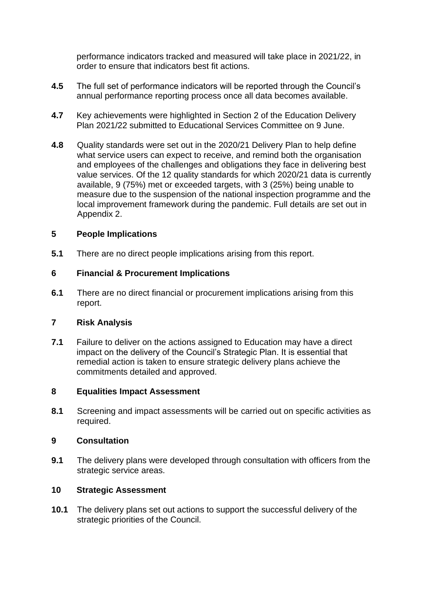performance indicators tracked and measured will take place in 2021/22, in order to ensure that indicators best fit actions.

- **4.5** The full set of performance indicators will be reported through the Council's annual performance reporting process once all data becomes available.
- **4.7** Key achievements were highlighted in Section 2 of the Education Delivery Plan 2021/22 submitted to Educational Services Committee on 9 June.
- **4.8** Quality standards were set out in the 2020/21 Delivery Plan to help define what service users can expect to receive, and remind both the organisation and employees of the challenges and obligations they face in delivering best value services. Of the 12 quality standards for which 2020/21 data is currently available, 9 (75%) met or exceeded targets, with 3 (25%) being unable to measure due to the suspension of the national inspection programme and the local improvement framework during the pandemic. Full details are set out in Appendix 2.

### **5 People Implications**

**5.1** There are no direct people implications arising from this report.

# **6 Financial & Procurement Implications**

**6.1** There are no direct financial or procurement implications arising from this report.

### **7 Risk Analysis**

**7.1** Failure to deliver on the actions assigned to Education may have a direct impact on the delivery of the Council's Strategic Plan. It is essential that remedial action is taken to ensure strategic delivery plans achieve the commitments detailed and approved.

### **8 Equalities Impact Assessment**

**8.1** Screening and impact assessments will be carried out on specific activities as required.

### **9 Consultation**

**9.1** The delivery plans were developed through consultation with officers from the strategic service areas.

### **10 Strategic Assessment**

**10.1** The delivery plans set out actions to support the successful delivery of the strategic priorities of the Council.